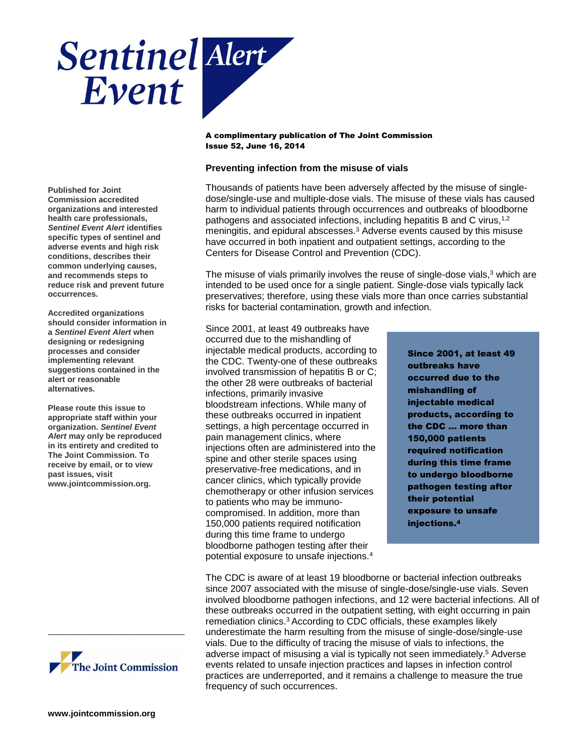

**Published for Joint Commission accredited organizations and interested health care professionals,**  *Sentinel Event Alert* **identifies specific types of sentinel and adverse events and high risk conditions, describes their common underlying causes, and recommends steps to reduce risk and prevent future occurrences.**

**Accredited organizations should consider information in a** *Sentinel Event Alert* **when designing or redesigning processes and consider implementing relevant suggestions contained in the alert or reasonable alternatives.** 

**Please route this issue to appropriate staff within your organization.** *Sentinel Event Alert* **may only be reproduced in its entirety and credited to The Joint Commission. To receive by email, or to view past issues, visit www.jointcommission.org.**



\_\_\_\_\_\_\_\_\_\_\_\_\_\_\_\_\_\_\_\_\_\_\_\_\_\_

# **Preventing infection from the misuse of vials**

Thousands of patients have been adversely affected by the misuse of singledose/single-use and multiple-dose vials. The misuse of these vials has caused harm to individual patients through occurrences and outbreaks of bloodborne pathogens and associated infections, including hepatitis B and C virus,<sup>1,2</sup> meningitis, and epidural abscesses.<sup>3</sup> Adverse events caused by this misuse have occurred in both inpatient and outpatient settings, according to the Centers for Disease Control and Prevention (CDC).

The misuse of vials primarily involves the reuse of single-dose vials, $3$  which are intended to be used once for a single patient. Single-dose vials typically lack preservatives; therefore, using these vials more than once carries substantial risks for bacterial contamination, growth and infection.

Since 2001, at least 49 outbreaks have occurred due to the mishandling of injectable medical products, according to the CDC. Twenty-one of these outbreaks involved transmission of hepatitis B or C; the other 28 were outbreaks of bacterial infections, primarily invasive bloodstream infections. While many of these outbreaks occurred in inpatient settings, a high percentage occurred in pain management clinics, where injections often are administered into the spine and other sterile spaces using preservative-free medications, and in cancer clinics, which typically provide chemotherapy or other infusion services to patients who may be immunocompromised. In addition, more than 150,000 patients required notification during this time frame to undergo bloodborne pathogen testing after their potential exposure to unsafe injections.<sup>4</sup>

Since 2001, at least 49 outbreaks have occurred due to the mishandling of injectable medical products, according to the CDC … more than 150,000 patients required notification during this time frame to undergo bloodborne pathogen testing after their potential exposure to unsafe injections.<sup>4</sup>

The CDC is aware of at least 19 bloodborne or bacterial infection outbreaks since 2007 associated with the misuse of single-dose/single-use vials. Seven involved bloodborne pathogen infections, and 12 were bacterial infections. All of these outbreaks occurred in the outpatient setting, with eight occurring in pain remediation clinics.<sup>3</sup> According to CDC officials, these examples likely underestimate the harm resulting from the misuse of single-dose/single-use vials. Due to the difficulty of tracing the misuse of vials to infections, the adverse impact of misusing a vial is typically not seen immediately.<sup>5</sup> Adverse events related to unsafe injection practices and lapses in infection control practices are underreported, and it remains a challenge to measure the true frequency of such occurrences.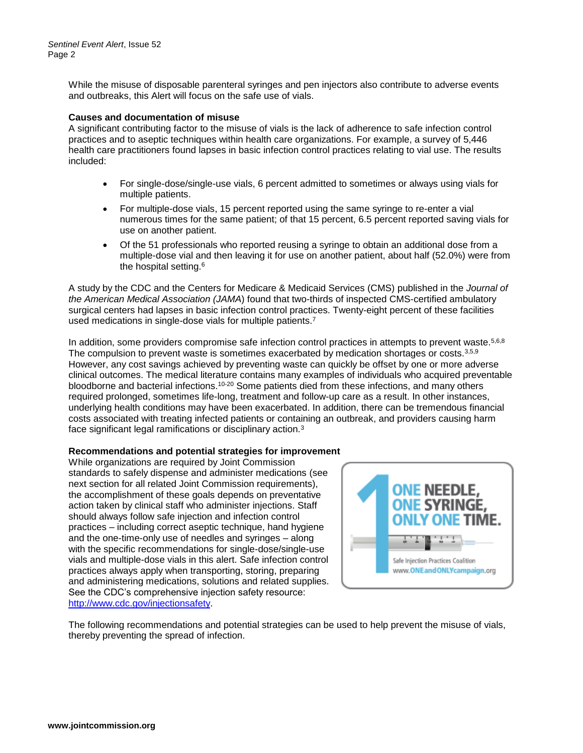While the misuse of disposable parenteral syringes and pen injectors also contribute to adverse events and outbreaks, this Alert will focus on the safe use of vials.

## **Causes and documentation of misuse**

A significant contributing factor to the misuse of vials is the lack of adherence to safe infection control practices and to aseptic techniques within health care organizations. For example, a survey of 5,446 health care practitioners found lapses in basic infection control practices relating to vial use. The results included:

- For single-dose/single-use vials, 6 percent admitted to sometimes or always using vials for multiple patients.
- For multiple-dose vials, 15 percent reported using the same syringe to re-enter a vial numerous times for the same patient; of that 15 percent, 6.5 percent reported saving vials for use on another patient.
- Of the 51 professionals who reported reusing a syringe to obtain an additional dose from a multiple-dose vial and then leaving it for use on another patient, about half (52.0%) were from the hospital setting.<sup>6</sup>

A study by the CDC and the Centers for Medicare & Medicaid Services (CMS) published in the *Journal of the American Medical Association (JAMA*) found that two-thirds of inspected CMS-certified ambulatory surgical centers had lapses in basic infection control practices. Twenty-eight percent of these facilities used medications in single-dose vials for multiple patients.<sup>7</sup>

In addition, some providers compromise safe infection control practices in attempts to prevent waste.<sup>5,6,8</sup> The compulsion to prevent waste is sometimes exacerbated by medication shortages or costs.<sup>3,5,9</sup> However, any cost savings achieved by preventing waste can quickly be offset by one or more adverse clinical outcomes. The medical literature contains many examples of individuals who acquired preventable bloodborne and bacterial infections.10-20 Some patients died from these infections, and many others required prolonged, sometimes life-long, treatment and follow-up care as a result. In other instances, underlying health conditions may have been exacerbated. In addition, there can be tremendous financial costs associated with treating infected patients or containing an outbreak, and providers causing harm face significant legal ramifications or disciplinary action.<sup>3</sup>

# **Recommendations and potential strategies for improvement**

While organizations are required by Joint Commission standards to safely dispense and administer medications (see next section for all related Joint Commission requirements), the accomplishment of these goals depends on preventative action taken by clinical staff who administer injections. Staff should always follow safe injection and infection control practices – including correct aseptic technique, hand hygiene and the one-time-only use of needles and syringes – along with the specific recommendations for single-dose/single-use vials and multiple-dose vials in this alert. Safe infection control practices always apply when transporting, storing, preparing and administering medications, solutions and related supplies. See the CDC's comprehensive injection safety resource: [http://www.cdc.gov/injectionsafety.](http://www.cdc.gov/injectionsafety)



The following recommendations and potential strategies can be used to help prevent the misuse of vials, thereby preventing the spread of infection.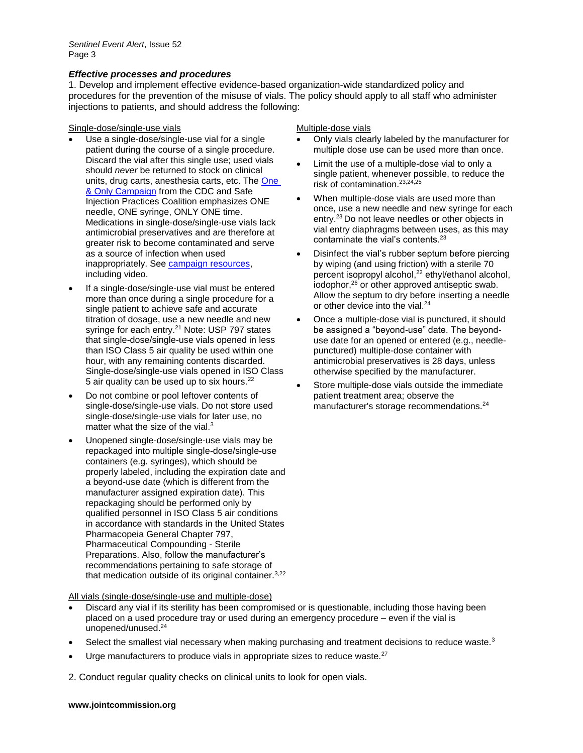## *Effective processes and procedures*

1. Develop and implement effective evidence-based organization-wide standardized policy and procedures for the prevention of the misuse of vials. The policy should apply to all staff who administer injections to patients, and should address the following:

Single-dose/single-use vials Multiple-dose vials

- Use a single-dose/single-use vial for a single patient during the course of a single procedure. Discard the vial after this single use; used vials should *never* be returned to stock on clinical units, drug carts, anesthesia carts, etc. The [One](http://www.oneandonlycampaign.org/)  [& Only Campaign](http://www.oneandonlycampaign.org/) from the CDC and Safe Injection Practices Coalition emphasizes ONE needle, ONE syringe, ONLY ONE time. Medications in single-dose/single-use vials lack antimicrobial preservatives and are therefore at greater risk to become contaminated and serve as a source of infection when used inappropriately. See [campaign resources,](http://www.oneandonlycampaign.org/content/audio-video) including video.
- If a single-dose/single-use vial must be entered more than once during a single procedure for a single patient to achieve safe and accurate titration of dosage, use a new needle and new syringe for each entry.<sup>21</sup> Note: USP 797 states that single-dose/single-use vials opened in less than ISO Class 5 air quality be used within one hour, with any remaining contents discarded. Single-dose/single-use vials opened in ISO Class 5 air quality can be used up to six hours.<sup>22</sup>
- Do not combine or pool leftover contents of single-dose/single-use vials. Do not store used single-dose/single-use vials for later use, no matter what the size of the vial. $3$
- Unopened single-dose/single-use vials may be repackaged into multiple single-dose/single-use containers (e.g. syringes), which should be properly labeled, including the expiration date and a beyond-use date (which is different from the manufacturer assigned expiration date). This repackaging should be performed only by qualified personnel in ISO Class 5 air conditions in accordance with standards in the United States Pharmacopeia General Chapter 797, Pharmaceutical Compounding - Sterile Preparations. Also, follow the manufacturer's recommendations pertaining to safe storage of that medication outside of its original container.<sup>3,22</sup>

All vials (single-dose/single-use and multiple-dose)

- Discard any vial if its sterility has been compromised or is questionable, including those having been placed on a used procedure tray or used during an emergency procedure – even if the vial is unopened/unused.<sup>24</sup>
- Select the smallest vial necessary when making purchasing and treatment decisions to reduce waste.<sup>3</sup>
- Urge manufacturers to produce vials in appropriate sizes to reduce waste. $27$

2. Conduct regular quality checks on clinical units to look for open vials.

- Only vials clearly labeled by the manufacturer for multiple dose use can be used more than once.
- Limit the use of a multiple-dose vial to only a single patient, whenever possible, to reduce the risk of contamination.23,24,25
- When multiple-dose vials are used more than once, use a new needle and new syringe for each entry.<sup>23</sup>Do not leave needles or other objects in vial entry diaphragms between uses, as this may contaminate the vial's contents.<sup>23</sup>
- Disinfect the vial's rubber septum before piercing by wiping (and using friction) with a sterile 70 percent isopropyl alcohol,<sup>22</sup> ethyl/ethanol alcohol, iodophor,<sup>26</sup> or other approved antiseptic swab. Allow the septum to dry before inserting a needle or other device into the vial.<sup>24</sup>
- Once a multiple-dose vial is punctured, it should be assigned a "beyond-use" date. The beyonduse date for an opened or entered (e.g., needlepunctured) multiple-dose container with antimicrobial preservatives is 28 days, unless otherwise specified by the manufacturer.
- Store multiple-dose vials outside the immediate patient treatment area; observe the manufacturer's storage recommendations.<sup>24</sup>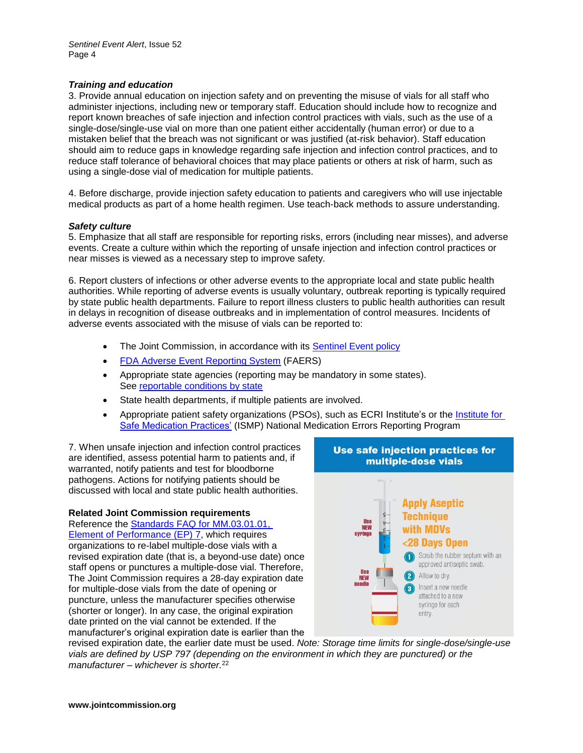# *Training and education*

3. Provide annual education on injection safety and on preventing the misuse of vials for all staff who administer injections, including new or temporary staff. Education should include how to recognize and report known breaches of safe injection and infection control practices with vials, such as the use of a single-dose/single-use vial on more than one patient either accidentally (human error) or due to a mistaken belief that the breach was not significant or was justified (at-risk behavior). Staff education should aim to reduce gaps in knowledge regarding safe injection and infection control practices, and to reduce staff tolerance of behavioral choices that may place patients or others at risk of harm, such as using a single-dose vial of medication for multiple patients.

4. Before discharge, provide injection safety education to patients and caregivers who will use injectable medical products as part of a home health regimen. Use teach-back methods to assure understanding.

#### *Safety culture*

5. Emphasize that all staff are responsible for reporting risks, errors (including near misses), and adverse events. Create a culture within which the reporting of unsafe injection and infection control practices or near misses is viewed as a necessary step to improve safety.

6. Report clusters of infections or other adverse events to the appropriate local and state public health authorities. While reporting of adverse events is usually voluntary, outbreak reporting is typically required by state public health departments. Failure to report illness clusters to public health authorities can result in delays in recognition of disease outbreaks and in implementation of control measures. Incidents of adverse events associated with the misuse of vials can be reported to:

- The Joint Commission, in accordance with its [Sentinel Event policy](http://www.jointcommission.org/assets/1/6/CAMH_2012_Update2_24_SE.pdf)
- [FDA Adverse Event Reporting System](http://www.fda.gov/Drugs/GuidanceComplianceRegulatoryInformation/Surveillance/AdverseDrugEffects/default.htm) (FAERS)
- Appropriate state agencies (reporting may be mandatory in some states). See [reportable conditions by state](http://www.cste.org/?StateReportable)
- State health departments, if multiple patients are involved.
- Appropriate patient safety organizations (PSOs), such as ECRI Institute's or the Institute for [Safe Medication Practices'](http://www.ismp.org/reporterrors.asp) (ISMP) National Medication Errors Reporting Program

7. When unsafe injection and infection control practices are identified, assess potential harm to patients and, if warranted, notify patients and test for bloodborne pathogens. Actions for notifying patients should be discussed with local and state public health authorities.

## **Related Joint Commission requirements**

Reference the [Standards FAQ for MM.03.01.01,](http://www.jointcommission.org/standards_information/jcfaqdetails.aspx?StandardsFAQId=143&StandardsFAQChapterId=76)  [Element of Performance \(EP\) 7,](http://www.jointcommission.org/standards_information/jcfaqdetails.aspx?StandardsFAQId=143&StandardsFAQChapterId=76) which requires organizations to re-label multiple-dose vials with a revised expiration date (that is, a beyond-use date) once staff opens or punctures a multiple-dose vial. Therefore, The Joint Commission requires a 28-day expiration date for multiple-dose vials from the date of opening or puncture, unless the manufacturer specifies otherwise (shorter or longer). In any case, the original expiration date printed on the vial cannot be extended. If the manufacturer's original expiration date is earlier than the



revised expiration date, the earlier date must be used. *Note: Storage time limits for single-dose/single-use vials are defined by USP 797 (depending on the environment in which they are punctured) or the manufacturer – whichever is shorter.*<sup>22</sup>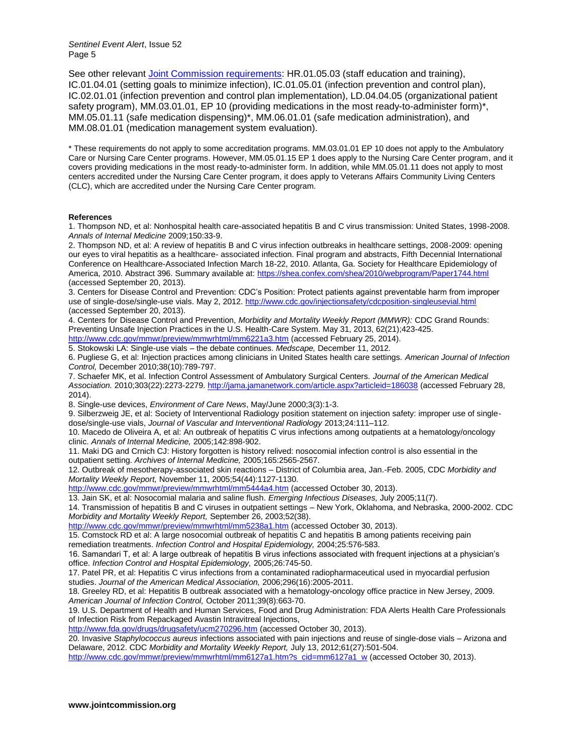*Sentinel Event Alert*, Issue 52 Page 5

See other relevant [Joint Commission requirements:](http://www.jointcommission.org/assets/1/6/SEA_vials_TJC_requirements.pdf) HR.01.05.03 (staff education and training), IC.01.04.01 (setting goals to minimize infection), IC.01.05.01 (infection prevention and control plan), IC.02.01.01 (infection prevention and control plan implementation), LD.04.04.05 (organizational patient safety program), MM.03.01.01, EP 10 (providing medications in the most ready-to-administer form)<sup>\*</sup>, MM.05.01.11 (safe medication dispensing)\*, MM.06.01.01 (safe medication administration), and MM.08.01.01 (medication management system evaluation).

\* These requirements do not apply to some accreditation programs. MM.03.01.01 EP 10 does not apply to the Ambulatory Care or Nursing Care Center programs. However, MM.05.01.15 EP 1 does apply to the Nursing Care Center program, and it covers providing medications in the most ready-to-administer form. In addition, while MM.05.01.11 does not apply to most centers accredited under the Nursing Care Center program, it does apply to Veterans Affairs Community Living Centers (CLC), which are accredited under the Nursing Care Center program.

#### **References**

1. Thompson ND, et al: Nonhospital health care-associated hepatitis B and C virus transmission: United States, 1998-2008. *Annals of Internal Medicine* 2009;150:33-9.

2. Thompson ND, et al: A review of hepatitis B and C virus infection outbreaks in healthcare settings, 2008-2009: opening our eyes to viral hepatitis as a healthcare- associated infection. Final program and abstracts, Fifth Decennial International Conference on Healthcare-Associated Infection March 18-22, 2010. Atlanta, Ga. Society for Healthcare Epidemiology of America, 2010. Abstract 396. Summary available at:<https://shea.confex.com/shea/2010/webprogram/Paper1744.html> (accessed September 20, 2013).

3. Centers for Disease Control and Prevention: CDC's Position: Protect patients against preventable harm from improper use of single-dose/single-use vials. May 2, 2012[. http://www.cdc.gov/injectionsafety/cdcposition-singleusevial.html](http://www.cdc.gov/injectionsafety/cdcposition-singleusevial.html) (accessed September 20, 2013).

4. Centers for Disease Control and Prevention, *Morbidity and Mortality Weekly Report (MMWR):* CDC Grand Rounds: Preventing Unsafe Injection Practices in the U.S. Health-Care System. May 31, 2013, 62(21);423-425. <http://www.cdc.gov/mmwr/preview/mmwrhtml/mm6221a3.htm> (accessed February 25, 2014).

5. Stokowski LA: Single-use vials – the debate continues. *Medscape,* December 11, 2012.

6. Pugliese G, et al: Injection practices among clinicians in United States health care settings. *American Journal of Infection Control,* December 2010;38(10):789-797.

7. Schaefer MK, et al. Infection Control Assessment of Ambulatory Surgical Centers. *Journal of the American Medical Association.* 2010;303(22):2273-2279.<http://jama.jamanetwork.com/article.aspx?articleid=186038> (accessed February 28, 2014).

8. Single-use devices, *Environment of Care News*, May/June 2000;3(3):1-3.

9. Silberzweig JE, et al: Society of Interventional Radiology position statement on injection safety: improper use of singledose/single-use vials, *Journal of Vascular and Interventional Radiology* 2013;24:111–112.

10. Macedo de Oliveira A, et al: An outbreak of hepatitis C virus infections among outpatients at a hematology/oncology clinic. *Annals of Internal Medicine,* 2005;142:898-902.

11. Maki DG and Crnich CJ: History forgotten is history relived: nosocomial infection control is also essential in the outpatient setting. *Archives of Internal Medicine,* 2005;165:2565-2567.

12. Outbreak of mesotherapy-associated skin reactions – District of Columbia area, Jan.-Feb. 2005, CDC *Morbidity and Mortality Weekly Report,* November 11, 2005;54(44):1127-1130.

<http://www.cdc.gov/mmwr/preview/mmwrhtml/mm5444a4.htm> (accessed October 30, 2013).

13. Jain SK, et al: Nosocomial malaria and saline flush. *Emerging Infectious Diseases,* July 2005;11(7).

14. Transmission of hepatitis B and C viruses in outpatient settings – New York, Oklahoma, and Nebraska, 2000-2002. CDC *Morbidity and Mortality Weekly Report,* September 26, 2003;52(38).

<http://www.cdc.gov/mmwr/preview/mmwrhtml/mm5238a1.htm> (accessed October 30, 2013).

15. Comstock RD et al: A large nosocomial outbreak of hepatitis C and hepatitis B among patients receiving pain remediation treatments. *Infection Control and Hospital Epidemiology,* 2004;25:576-583.

16. Samandari T, et al: A large outbreak of hepatitis B virus infections associated with frequent injections at a physician's office. *Infection Control and Hospital Epidemiology,* 2005;26:745-50.

17. Patel PR, et al: Hepatitis C virus infections from a contaminated radiopharmaceutical used in myocardial perfusion studies. *Journal of the American Medical Association,* 2006;296(16):2005-2011.

18. Greeley RD, et al: Hepatitis B outbreak associated with a hematology-oncology office practice in New Jersey, 2009. *American Journal of Infection Control,* October 2011;39(8):663-70.

19. U.S. Department of Health and Human Services, Food and Drug Administration: FDA Alerts Health Care Professionals of Infection Risk from Repackaged Avastin Intravitreal Injections,

<http://www.fda.gov/drugs/drugsafety/ucm270296.htm> (accessed October 30, 2013).

20. Invasive *Staphylococcus aureus* infections associated with pain injections and reuse of single-dose vials – Arizona and Delaware, 2012. CDC *Morbidity and Mortality Weekly Report,* July 13, 2012;61(27):501-504.

[http://www.cdc.gov/mmwr/preview/mmwrhtml/mm6127a1.htm?s\\_cid=mm6127a1\\_w](http://www.cdc.gov/mmwr/preview/mmwrhtml/mm6127a1.htm?s_cid=mm6127a1_w) (accessed October 30, 2013).